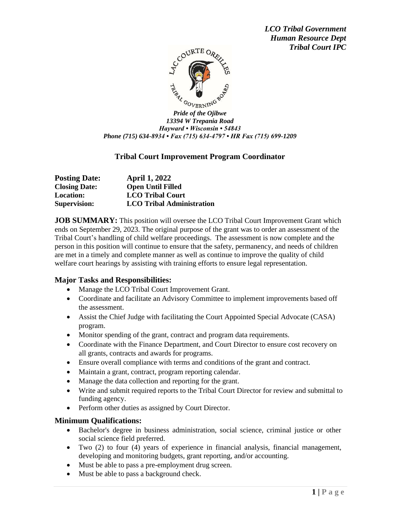

*13394 W Trepania Road Hayward • Wisconsin • 54843 Phone (715) 634-8934 • Fax (715) 634-4797 • HR Fax (715) 699-1209*

# **Tribal Court Improvement Program Coordinator**

| <b>Posting Date:</b> | <b>April 1, 2022</b>             |
|----------------------|----------------------------------|
| <b>Closing Date:</b> | <b>Open Until Filled</b>         |
| <b>Location:</b>     | <b>LCO Tribal Court</b>          |
| <b>Supervision:</b>  | <b>LCO Tribal Administration</b> |

**JOB SUMMARY:** This position will oversee the LCO Tribal Court Improvement Grant which ends on September 29, 2023. The original purpose of the grant was to order an assessment of the Tribal Court's handling of child welfare proceedings. The assessment is now complete and the person in this position will continue to ensure that the safety, permanency, and needs of children are met in a timely and complete manner as well as continue to improve the quality of child welfare court hearings by assisting with training efforts to ensure legal representation.

## **Major Tasks and Responsibilities:**

- Manage the LCO Tribal Court Improvement Grant.
- Coordinate and facilitate an Advisory Committee to implement improvements based off the assessment.
- Assist the Chief Judge with facilitating the Court Appointed Special Advocate (CASA) program.
- Monitor spending of the grant, contract and program data requirements.
- Coordinate with the Finance Department, and Court Director to ensure cost recovery on all grants, contracts and awards for programs.
- Ensure overall compliance with terms and conditions of the grant and contract.
- Maintain a grant, contract, program reporting calendar.
- Manage the data collection and reporting for the grant.
- Write and submit required reports to the Tribal Court Director for review and submittal to funding agency.
- Perform other duties as assigned by Court Director.

## **Minimum Qualifications:**

- Bachelor's degree in business administration, social science, criminal justice or other social science field preferred.
- Two (2) to four (4) years of experience in financial analysis, financial management, developing and monitoring budgets, grant reporting, and/or accounting.
- Must be able to pass a pre-employment drug screen.
- Must be able to pass a background check.